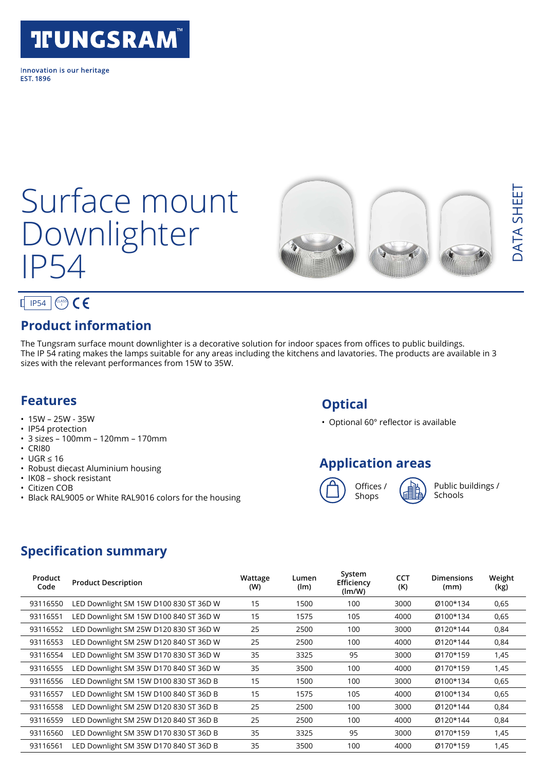## **TFUNGSRAM®**

Innovation is our heritage **FST 1896** 

# Surface mount Downlighter IP54



### $IP54$   $\binom{CLASS}{1}$

#### **Product information**

The Tungsram surface mount downlighter is a decorative solution for indoor spaces from offices to public buildings. The IP 54 rating makes the lamps suitable for any areas including the kitchens and lavatories. The products are available in 3 sizes with the relevant performances from 15W to 35W.

#### **Features**

- $15W 25W 35W$
- IP54 protection
- 3 sizes 100mm 120mm 170mm
- CRI80
- UGR ≤ 16
- Robust diecast Aluminium housing
- IK08 shock resistant
- Citizen COB
- Black RAL9005 or White RAL9016 colors for the housing

#### **Optical**

• Optional 60° reflector is available

#### **Application areas**



Public buildings / Schools

#### **Specification summary**

| Product<br>Code | <b>Product Description</b>             | Wattage<br>(W) | Lumen<br>(lm) | System<br>Efficiency<br>(lm/W) | <b>CCT</b><br>(K) | <b>Dimensions</b><br>(mm) | Weight<br>(kg) |
|-----------------|----------------------------------------|----------------|---------------|--------------------------------|-------------------|---------------------------|----------------|
| 93116550        | LED Downlight SM 15W D100 830 ST 36D W | 15             | 1500          | 100                            | 3000              | Ø100*134                  | 0,65           |
| 93116551        | LED Downlight SM 15W D100 840 ST 36D W | 15             | 1575          | 105                            | 4000              | Ø100*134                  | 0,65           |
| 93116552        | LED Downlight SM 25W D120 830 ST 36D W | 25             | 2500          | 100                            | 3000              | Ø120*144                  | 0,84           |
| 93116553        | LED Downlight SM 25W D120 840 ST 36D W | 25             | 2500          | 100                            | 4000              | Ø120*144                  | 0,84           |
| 93116554        | LED Downlight SM 35W D170 830 ST 36D W | 35             | 3325          | 95                             | 3000              | Ø170*159                  | 1,45           |
| 93116555        | LED Downlight SM 35W D170 840 ST 36D W | 35             | 3500          | 100                            | 4000              | Ø170*159                  | 1,45           |
| 93116556        | LED Downlight SM 15W D100 830 ST 36D B | 15             | 1500          | 100                            | 3000              | Ø100*134                  | 0,65           |
| 93116557        | LED Downlight SM 15W D100 840 ST 36D B | 15             | 1575          | 105                            | 4000              | Ø100*134                  | 0,65           |
| 93116558        | LED Downlight SM 25W D120 830 ST 36D B | 25             | 2500          | 100                            | 3000              | Ø120*144                  | 0,84           |
| 93116559        | LED Downlight SM 25W D120 840 ST 36D B | 25             | 2500          | 100                            | 4000              | Ø120*144                  | 0,84           |
| 93116560        | LED Downlight SM 35W D170 830 ST 36D B | 35             | 3325          | 95                             | 3000              | Ø170*159                  | 1,45           |
| 93116561        | LED Downlight SM 35W D170 840 ST 36D B | 35             | 3500          | 100                            | 4000              | 0170*159                  | 1,45           |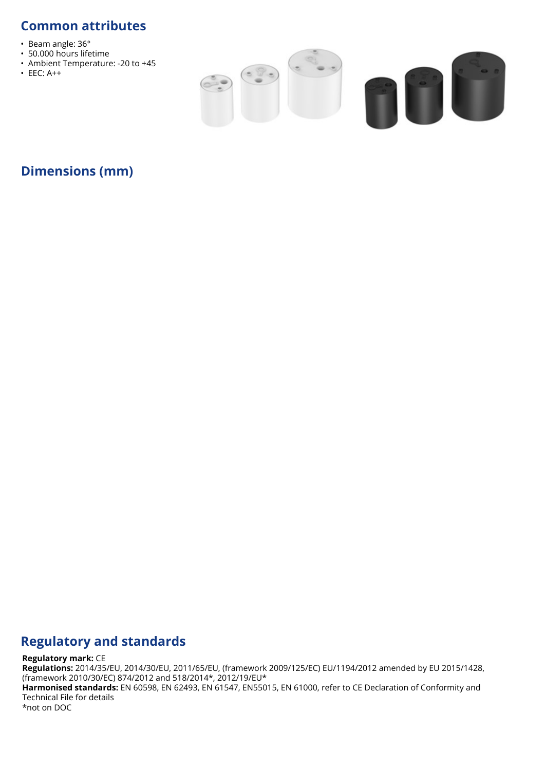#### **Common attributes**

- Beam angle: 36°
- 50.000 hours lifetime
- Ambient Temperature: -20 to +45
- EEC: A++



#### **Dimensions (mm)**

#### **Regulatory and standards**

#### **Regulatory mark:** CE

**Regulations:** 2014/35/EU, 2014/30/EU, 2011/65/EU, (framework 2009/125/EC) EU/1194/2012 amended by EU 2015/1428, (framework 2010/30/EC) 874/2012 and 518/2014\*, 2012/19/EU\*

**Harmonised standards:** EN 60598, EN 62493, EN 61547, EN55015, EN 61000, refer to CE Declaration of Conformity and Technical File for details

\*not on DOC